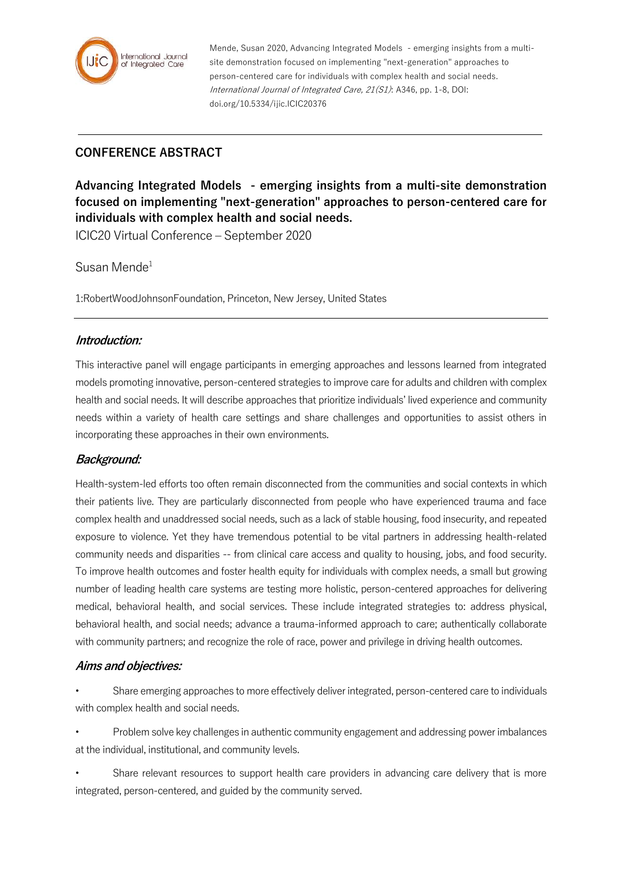

Mende, Susan 2020, Advancing Integrated Models - emerging insights from a multisite demonstration focused on implementing "next-generation" approaches to person-centered care for individuals with complex health and social needs. International Journal of Integrated Care, 21(S1): A346, pp. 1-8, DOI: doi.org/10.5334/ijic.ICIC20376

# **CONFERENCE ABSTRACT**

**Advancing Integrated Models - emerging insights from a multi-site demonstration focused on implementing "next-generation" approaches to person-centered care for individuals with complex health and social needs.**

ICIC20 Virtual Conference – September 2020

Susan Mende<sup>1</sup>

1:RobertWoodJohnsonFoundation, Princeton, New Jersey, United States

#### **Introduction:**

This interactive panel will engage participants in emerging approaches and lessons learned from integrated models promoting innovative, person-centered strategies to improve care for adults and children with complex health and social needs. It will describe approaches that prioritize individuals' lived experience and community needs within a variety of health care settings and share challenges and opportunities to assist others in incorporating these approaches in their own environments.

## **Background:**

Health-system-led efforts too often remain disconnected from the communities and social contexts in which their patients live. They are particularly disconnected from people who have experienced trauma and face complex health and unaddressed social needs, such as a lack of stable housing, food insecurity, and repeated exposure to violence. Yet they have tremendous potential to be vital partners in addressing health-related community needs and disparities -- from clinical care access and quality to housing, jobs, and food security. To improve health outcomes and foster health equity for individuals with complex needs, a small but growing number of leading health care systems are testing more holistic, person-centered approaches for delivering medical, behavioral health, and social services. These include integrated strategies to: address physical, behavioral health, and social needs; advance a trauma-informed approach to care; authentically collaborate with community partners; and recognize the role of race, power and privilege in driving health outcomes.

#### **Aims and objectives:**

- Share emerging approaches to more effectively deliver integrated, person-centered care to individuals with complex health and social needs.
- Problem solve key challenges in authentic community engagement and addressing power imbalances at the individual, institutional, and community levels.
- Share relevant resources to support health care providers in advancing care delivery that is more integrated, person-centered, and guided by the community served.